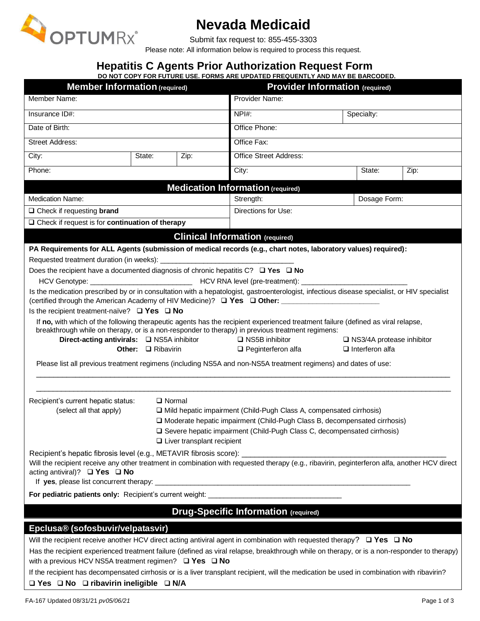

# **Nevada Medicaid**

Submit fax request to: 855-455-3303

Please note: All information below is required to process this request.

# **Hepatitis C Agents Prior Authorization Request Form**

|                                                                                                                                                                                                                                                                                                                                                           |        |      | DO NOT COPY FOR FUTURE USE. FORMS ARE UPDATED FREQUENTLY AND MAY BE BARCODED.                                                                                                                                                                            |                        |                                  |      |  |  |
|-----------------------------------------------------------------------------------------------------------------------------------------------------------------------------------------------------------------------------------------------------------------------------------------------------------------------------------------------------------|--------|------|----------------------------------------------------------------------------------------------------------------------------------------------------------------------------------------------------------------------------------------------------------|------------------------|----------------------------------|------|--|--|
| <b>Member Information (required)</b>                                                                                                                                                                                                                                                                                                                      |        |      | <b>Provider Information (required)</b>                                                                                                                                                                                                                   |                        |                                  |      |  |  |
| Member Name:                                                                                                                                                                                                                                                                                                                                              |        |      | Provider Name:                                                                                                                                                                                                                                           |                        |                                  |      |  |  |
| Insurance ID#:                                                                                                                                                                                                                                                                                                                                            |        |      | $NPI#$ :                                                                                                                                                                                                                                                 |                        | Specialty:                       |      |  |  |
| Date of Birth:                                                                                                                                                                                                                                                                                                                                            |        |      | Office Phone:                                                                                                                                                                                                                                            |                        |                                  |      |  |  |
| <b>Street Address:</b>                                                                                                                                                                                                                                                                                                                                    |        |      | Office Fax:                                                                                                                                                                                                                                              |                        |                                  |      |  |  |
| City:                                                                                                                                                                                                                                                                                                                                                     | State: | Zip: | <b>Office Street Address:</b>                                                                                                                                                                                                                            |                        |                                  |      |  |  |
| Phone:                                                                                                                                                                                                                                                                                                                                                    |        |      | City:                                                                                                                                                                                                                                                    |                        | State:                           | Zip: |  |  |
|                                                                                                                                                                                                                                                                                                                                                           |        |      | <b>Medication Information (required)</b>                                                                                                                                                                                                                 |                        |                                  |      |  |  |
| <b>Medication Name:</b>                                                                                                                                                                                                                                                                                                                                   |        |      | Strength:                                                                                                                                                                                                                                                |                        | Dosage Form:                     |      |  |  |
| $\Box$ Check if requesting <b>brand</b>                                                                                                                                                                                                                                                                                                                   |        |      | Directions for Use:                                                                                                                                                                                                                                      |                        |                                  |      |  |  |
| $\Box$ Check if request is for continuation of therapy                                                                                                                                                                                                                                                                                                    |        |      |                                                                                                                                                                                                                                                          |                        |                                  |      |  |  |
|                                                                                                                                                                                                                                                                                                                                                           |        |      | <b>Clinical Information (required)</b>                                                                                                                                                                                                                   |                        |                                  |      |  |  |
| PA Requirements for ALL Agents (submission of medical records (e.g., chart notes, laboratory values) required):                                                                                                                                                                                                                                           |        |      |                                                                                                                                                                                                                                                          |                        |                                  |      |  |  |
|                                                                                                                                                                                                                                                                                                                                                           |        |      |                                                                                                                                                                                                                                                          |                        |                                  |      |  |  |
| Does the recipient have a documented diagnosis of chronic hepatitis $C$ ? $\Box$ Yes $\Box$ No                                                                                                                                                                                                                                                            |        |      |                                                                                                                                                                                                                                                          |                        |                                  |      |  |  |
|                                                                                                                                                                                                                                                                                                                                                           |        |      |                                                                                                                                                                                                                                                          |                        |                                  |      |  |  |
| Is the medication prescribed by or in consultation with a hepatologist, gastroenterologist, infectious disease specialist, or HIV specialist<br>(certified through the American Academy of HIV Medicine)? □ Yes □ Other: __________________________                                                                                                       |        |      |                                                                                                                                                                                                                                                          |                        |                                  |      |  |  |
| Is the recipient treatment-naïve? $\Box$ Yes $\Box$ No                                                                                                                                                                                                                                                                                                    |        |      |                                                                                                                                                                                                                                                          |                        |                                  |      |  |  |
| Direct-acting antivirals:<br><u> </u> NS5A inhibitor                                                                                                                                                                                                                                                                                                      |        |      | If no, with which of the following therapeutic agents has the recipient experienced treatment failure (defined as viral relapse,<br>breakthrough while on therapy, or is a non-responder to therapy) in previous treatment regimens:<br>□ NS5B inhibitor |                        | $\Box$ NS3/4A protease inhibitor |      |  |  |
| Other: □ Ribavirin                                                                                                                                                                                                                                                                                                                                        |        |      | $\Box$ Peginterferon alfa                                                                                                                                                                                                                                | $\Box$ Interferon alfa |                                  |      |  |  |
|                                                                                                                                                                                                                                                                                                                                                           |        |      | Please list all previous treatment regimens (including NS5A and non-NS5A treatment regimens) and dates of use:                                                                                                                                           |                        |                                  |      |  |  |
| Recipient's current hepatic status:<br>$\Box$ Normal<br>(select all that apply)<br>□ Mild hepatic impairment (Child-Pugh Class A, compensated cirrhosis)<br>O Moderate hepatic impairment (Child-Pugh Class B, decompensated cirrhosis)<br>□ Severe hepatic impairment (Child-Pugh Class C, decompensated cirrhosis)<br>$\Box$ Liver transplant recipient |        |      |                                                                                                                                                                                                                                                          |                        |                                  |      |  |  |
| Will the recipient receive any other treatment in combination with requested therapy (e.g., ribavirin, peginterferon alfa, another HCV direct<br>acting antiviral)? $\Box$ Yes $\Box$ No                                                                                                                                                                  |        |      |                                                                                                                                                                                                                                                          |                        |                                  |      |  |  |
| For pediatric patients only: Recipient's current weight: ________________________                                                                                                                                                                                                                                                                         |        |      |                                                                                                                                                                                                                                                          |                        |                                  |      |  |  |
|                                                                                                                                                                                                                                                                                                                                                           |        |      | <b>Drug-Specific Information (required)</b>                                                                                                                                                                                                              |                        |                                  |      |  |  |
|                                                                                                                                                                                                                                                                                                                                                           |        |      |                                                                                                                                                                                                                                                          |                        |                                  |      |  |  |
| Epclusa® (sofosbuvir/velpatasvir)                                                                                                                                                                                                                                                                                                                         |        |      |                                                                                                                                                                                                                                                          |                        |                                  |      |  |  |
| Will the recipient receive another HCV direct acting antiviral agent in combination with requested therapy? $\Box$ Yes $\Box$ No                                                                                                                                                                                                                          |        |      |                                                                                                                                                                                                                                                          |                        |                                  |      |  |  |
| Has the recipient experienced treatment failure (defined as viral relapse, breakthrough while on therapy, or is a non-responder to therapy)<br>with a previous HCV NS5A treatment regimen? $\Box$ Yes $\Box$ No                                                                                                                                           |        |      |                                                                                                                                                                                                                                                          |                        |                                  |      |  |  |
| If the recipient has decompensated cirrhosis or is a liver transplant recipient, will the medication be used in combination with ribavirin?                                                                                                                                                                                                               |        |      |                                                                                                                                                                                                                                                          |                        |                                  |      |  |  |
| $\Box$ Yes $\Box$ No $\Box$ ribavirin ineligible $\Box$ N/A                                                                                                                                                                                                                                                                                               |        |      |                                                                                                                                                                                                                                                          |                        |                                  |      |  |  |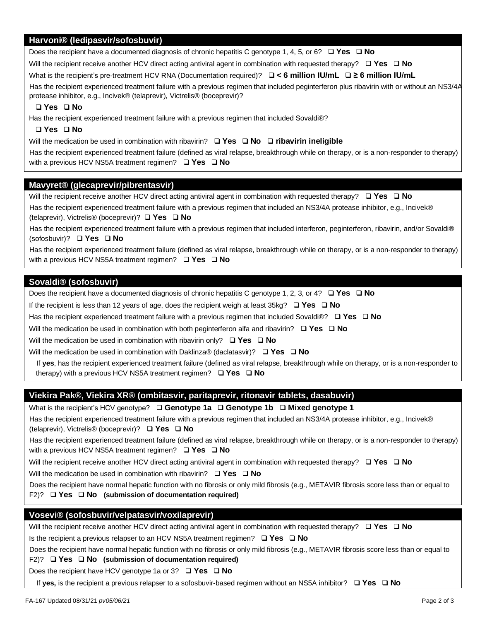# **Harvoni® (ledipasvir/sofosbuvir)**

Does the recipient have a documented diagnosis of chronic hepatitis C genotype 1, 4, 5, or 6? ❑ **Yes** ❑ **No**

Will the recipient receive another HCV direct acting antiviral agent in combination with requested therapy? ❑ **Yes** ❑ **No**

What is the recipient's pre-treatment HCV RNA (Documentation required)? ❑ **< 6 million IU/mL** ❑ **≥ 6 million IU/mL**

Has the recipient experienced treatment failure with a previous regimen that included peginterferon plus ribavirin with or without an NS3/4A protease inhibitor, e.g., Incivek® (telaprevir), Victrelis® (boceprevir)?

## ❑ **Yes** ❑ **No**

Has the recipient experienced treatment failure with a previous regimen that included Sovaldi®?

### ❑ **Yes** ❑ **No**

Will the medication be used in combination with ribavirin? ❑ **Yes** ❑ **No** ❑ **ribavirin ineligible**

Has the recipient experienced treatment failure (defined as viral relapse, breakthrough while on therapy, or is a non-responder to therapy) with a previous HCV NS5A treatment regimen? ❑ **Yes** ❑ **No**

### **Mavyret® (glecaprevir/pibrentasvir)**

Will the recipient receive another HCV direct acting antiviral agent in combination with requested therapy? ❑ **Yes** ❑ **No**

Has the recipient experienced treatment failure with a previous regimen that included an NS3/4A protease inhibitor, e.g., Incivek® (telaprevir), Victrelis® (boceprevir)? ❑ **Yes** ❑ **No**

Has the recipient experienced treatment failure with a previous regimen that included interferon, peginterferon, ribavirin, and/or Sovaldi**®**  (sofosbuvir)? ❑ **Yes** ❑ **No**

Has the recipient experienced treatment failure (defined as viral relapse, breakthrough while on therapy, or is a non-responder to therapy) with a previous HCV NS5A treatment regimen? ❑ **Yes** ❑ **No**

# **Sovaldi® (sofosbuvir)**

Does the recipient have a documented diagnosis of chronic hepatitis C genotype 1, 2, 3, or 4? ❑ **Yes** ❑ **No**

If the recipient is less than 12 years of age, does the recipient weigh at least 35kg? ❑ **Yes** ❑ **No**

Has the recipient experienced treatment failure with a previous regimen that included Sovaldi®? ❑ **Yes** ❑ **No**

Will the medication be used in combination with both peginterferon alfa and ribavirin? ❑ **Yes** ❑ **No**

Will the medication be used in combination with ribavirin only? ❑ **Yes** ❑ **No**

Will the medication be used in combination with Daklinza® (daclatasvir)? ❑ **Yes** ❑ **No**

If **yes**, has the recipient experienced treatment failure (defined as viral relapse, breakthrough while on therapy, or is a non-responder to therapy) with a previous HCV NS5A treatment regimen? ❑ **Yes** ❑ **No**

# **Viekira Pak®, Viekira XR® (ombitasvir, paritaprevir, ritonavir tablets, dasabuvir)**

What is the recipient's HCV genotype? ❑ **Genotype 1a** ❑ **Genotype 1b** ❑ **Mixed genotype 1**

Has the recipient experienced treatment failure with a previous regimen that included an NS3/4A protease inhibitor, e.g., Incivek® (telaprevir), Victrelis® (boceprevir)? ❑ **Yes** ❑ **No**

Has the recipient experienced treatment failure (defined as viral relapse, breakthrough while on therapy, or is a non-responder to therapy) with a previous HCV NS5A treatment regimen? ❑ **Yes** ❑ **No**

Will the recipient receive another HCV direct acting antiviral agent in combination with requested therapy? ❑ **Yes** ❑ **No**

Will the medication be used in combination with ribavirin? ❑ **Yes** ❑ **No**

Does the recipient have normal hepatic function with no fibrosis or only mild fibrosis (e.g., METAVIR fibrosis score less than or equal to F2)? ❑ **Yes** ❑ **No (submission of documentation required)**

# **Vosevi® (sofosbuvir/velpatasvir/voxilaprevir)**

Will the recipient receive another HCV direct acting antiviral agent in combination with requested therapy? ❑ **Yes** ❑ **No**

Is the recipient a previous relapser to an HCV NS5A treatment regimen? ❑ **Yes** ❑ **No**

Does the recipient have normal hepatic function with no fibrosis or only mild fibrosis (e.g., METAVIR fibrosis score less than or equal to

## F2)? ❑ **Yes** ❑ **No (submission of documentation required)**

Does the recipient have HCV genotype 1a or 3? ❑ **Yes** ❑ **No**

If **yes,** is the recipient a previous relapser to a sofosbuvir-based regimen without an NS5A inhibitor? ❑ **Yes** ❑ **No**